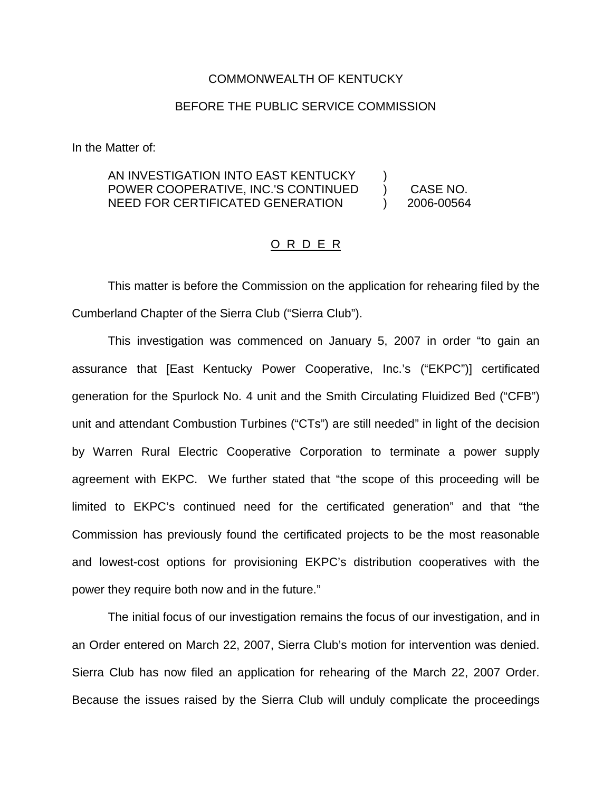#### COMMONWEALTH OF KENTUCKY

### BEFORE THE PUBLIC SERVICE COMMISSION

In the Matter of:

#### AN INVESTIGATION INTO EAST KENTUCKY POWER COOPERATIVE, INC.'S CONTINUED NEED FOR CERTIFICATED GENERATION ) ) CASE NO. ) 2006-00564

#### O R D E R

This matter is before the Commission on the application for rehearing filed by the Cumberland Chapter of the Sierra Club ("Sierra Club").

This investigation was commenced on January 5, 2007 in order "to gain an assurance that [East Kentucky Power Cooperative, Inc.'s ("EKPC")] certificated generation for the Spurlock No. 4 unit and the Smith Circulating Fluidized Bed ("CFB") unit and attendant Combustion Turbines ("CTs") are still needed" in light of the decision by Warren Rural Electric Cooperative Corporation to terminate a power supply agreement with EKPC. We further stated that "the scope of this proceeding will be limited to EKPC's continued need for the certificated generation" and that "the Commission has previously found the certificated projects to be the most reasonable and lowest-cost options for provisioning EKPC's distribution cooperatives with the power they require both now and in the future."

The initial focus of our investigation remains the focus of our investigation, and in an Order entered on March 22, 2007, Sierra Club's motion for intervention was denied. Sierra Club has now filed an application for rehearing of the March 22, 2007 Order. Because the issues raised by the Sierra Club will unduly complicate the proceedings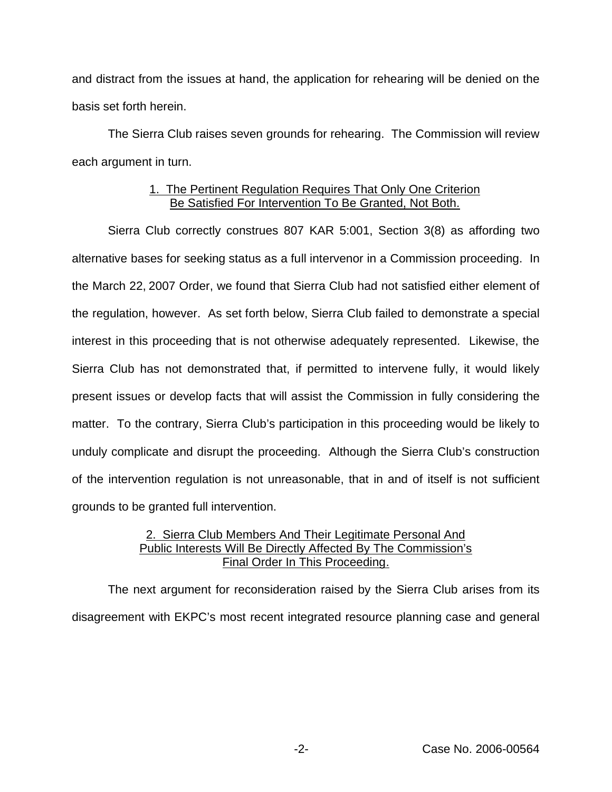and distract from the issues at hand, the application for rehearing will be denied on the basis set forth herein.

The Sierra Club raises seven grounds for rehearing. The Commission will review each argument in turn.

# 1. The Pertinent Regulation Requires That Only One Criterion Be Satisfied For Intervention To Be Granted, Not Both.

Sierra Club correctly construes 807 KAR 5:001, Section 3(8) as affording two alternative bases for seeking status as a full intervenor in a Commission proceeding. In the March 22, 2007 Order, we found that Sierra Club had not satisfied either element of the regulation, however. As set forth below, Sierra Club failed to demonstrate a special interest in this proceeding that is not otherwise adequately represented. Likewise, the Sierra Club has not demonstrated that, if permitted to intervene fully, it would likely present issues or develop facts that will assist the Commission in fully considering the matter. To the contrary, Sierra Club's participation in this proceeding would be likely to unduly complicate and disrupt the proceeding. Although the Sierra Club's construction of the intervention regulation is not unreasonable, that in and of itself is not sufficient grounds to be granted full intervention.

# 2. Sierra Club Members And Their Legitimate Personal And Public Interests Will Be Directly Affected By The Commission's Final Order In This Proceeding.

The next argument for reconsideration raised by the Sierra Club arises from its disagreement with EKPC's most recent integrated resource planning case and general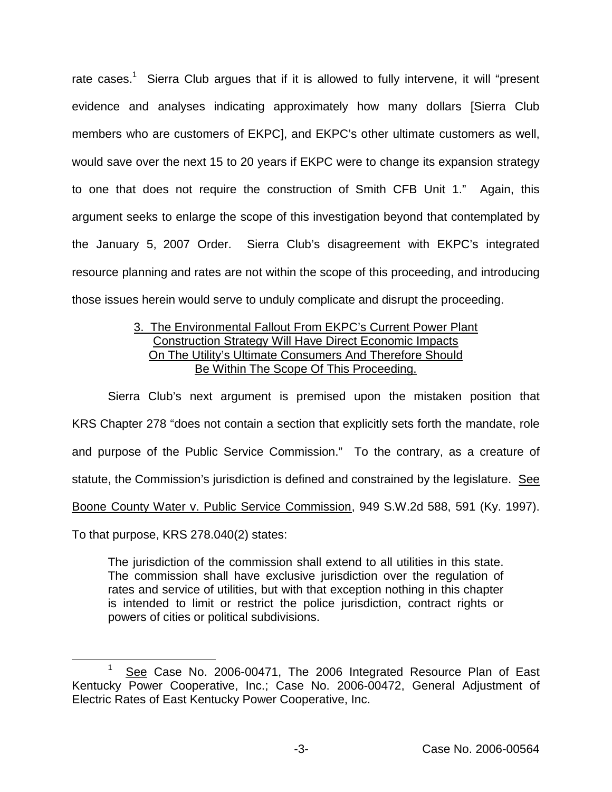rate cases.<sup>1</sup> Sierra Club argues that if it is allowed to fully intervene, it will "present evidence and analyses indicating approximately how many dollars [Sierra Club members who are customers of EKPC], and EKPC's other ultimate customers as well, would save over the next 15 to 20 years if EKPC were to change its expansion strategy to one that does not require the construction of Smith CFB Unit 1." Again, this argument seeks to enlarge the scope of this investigation beyond that contemplated by the January 5, 2007 Order. Sierra Club's disagreement with EKPC's integrated resource planning and rates are not within the scope of this proceeding, and introducing those issues herein would serve to unduly complicate and disrupt the proceeding.

## 3. The Environmental Fallout From EKPC's Current Power Plant Construction Strategy Will Have Direct Economic Impacts On The Utility's Ultimate Consumers And Therefore Should Be Within The Scope Of This Proceeding.

Sierra Club's next argument is premised upon the mistaken position that KRS Chapter 278 "does not contain a section that explicitly sets forth the mandate, role and purpose of the Public Service Commission." To the contrary, as a creature of statute, the Commission's jurisdiction is defined and constrained by the legislature. See Boone County Water v. Public Service Commission, 949 S.W.2d 588, 591 (Ky. 1997).

To that purpose, KRS 278.040(2) states:

The jurisdiction of the commission shall extend to all utilities in this state. The commission shall have exclusive jurisdiction over the regulation of rates and service of utilities, but with that exception nothing in this chapter is intended to limit or restrict the police jurisdiction, contract rights or powers of cities or political subdivisions.

<sup>&</sup>lt;sup>1</sup> See Case No. 2006-00471, The 2006 Integrated Resource Plan of East Kentucky Power Cooperative, Inc.; Case No. 2006-00472, General Adjustment of Electric Rates of East Kentucky Power Cooperative, Inc.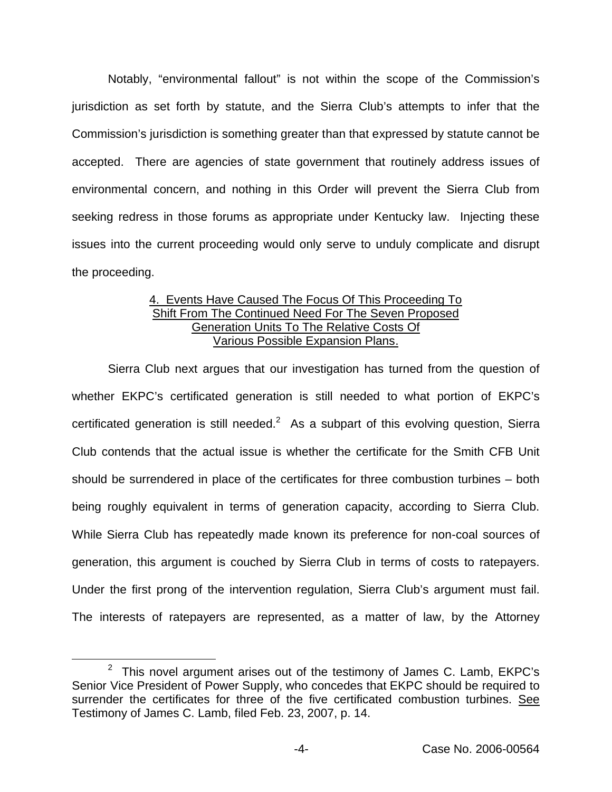Notably, "environmental fallout" is not within the scope of the Commission's jurisdiction as set forth by statute, and the Sierra Club's attempts to infer that the Commission's jurisdiction is something greater than that expressed by statute cannot be accepted. There are agencies of state government that routinely address issues of environmental concern, and nothing in this Order will prevent the Sierra Club from seeking redress in those forums as appropriate under Kentucky law. Injecting these issues into the current proceeding would only serve to unduly complicate and disrupt the proceeding.

# 4. Events Have Caused The Focus Of This Proceeding To Shift From The Continued Need For The Seven Proposed Generation Units To The Relative Costs Of Various Possible Expansion Plans.

Sierra Club next argues that our investigation has turned from the question of whether EKPC's certificated generation is still needed to what portion of EKPC's certificated generation is still needed.<sup>2</sup> As a subpart of this evolving question, Sierra Club contends that the actual issue is whether the certificate for the Smith CFB Unit should be surrendered in place of the certificates for three combustion turbines – both being roughly equivalent in terms of generation capacity, according to Sierra Club. While Sierra Club has repeatedly made known its preference for non-coal sources of generation, this argument is couched by Sierra Club in terms of costs to ratepayers. Under the first prong of the intervention regulation, Sierra Club's argument must fail. The interests of ratepayers are represented, as a matter of law, by the Attorney

 $2$  This novel argument arises out of the testimony of James C. Lamb, EKPC's Senior Vice President of Power Supply, who concedes that EKPC should be required to surrender the certificates for three of the five certificated combustion turbines. See Testimony of James C. Lamb, filed Feb. 23, 2007, p. 14.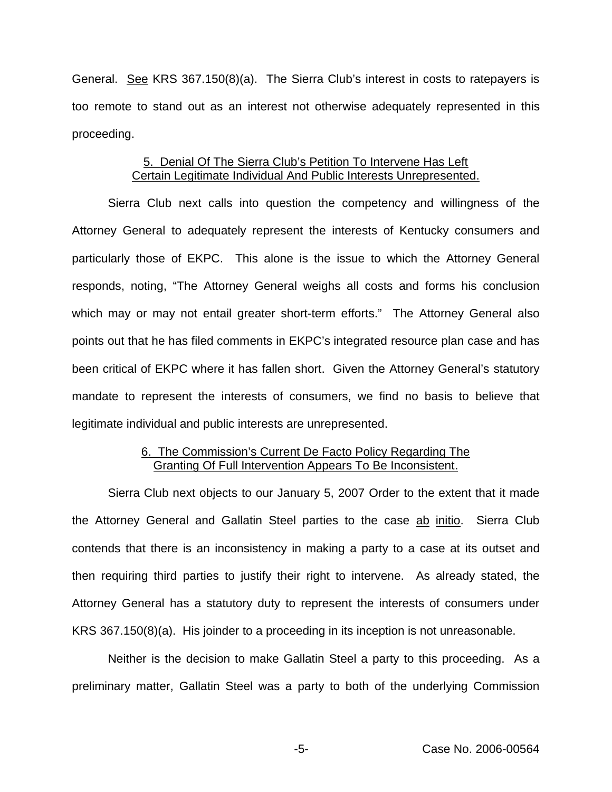General. See KRS 367.150(8)(a). The Sierra Club's interest in costs to ratepayers is too remote to stand out as an interest not otherwise adequately represented in this proceeding.

## 5. Denial Of The Sierra Club's Petition To Intervene Has Left Certain Legitimate Individual And Public Interests Unrepresented.

Sierra Club next calls into question the competency and willingness of the Attorney General to adequately represent the interests of Kentucky consumers and particularly those of EKPC. This alone is the issue to which the Attorney General responds, noting, "The Attorney General weighs all costs and forms his conclusion which may or may not entail greater short-term efforts." The Attorney General also points out that he has filed comments in EKPC's integrated resource plan case and has been critical of EKPC where it has fallen short. Given the Attorney General's statutory mandate to represent the interests of consumers, we find no basis to believe that legitimate individual and public interests are unrepresented.

## 6. The Commission's Current De Facto Policy Regarding The Granting Of Full Intervention Appears To Be Inconsistent.

Sierra Club next objects to our January 5, 2007 Order to the extent that it made the Attorney General and Gallatin Steel parties to the case ab initio. Sierra Club contends that there is an inconsistency in making a party to a case at its outset and then requiring third parties to justify their right to intervene. As already stated, the Attorney General has a statutory duty to represent the interests of consumers under KRS 367.150(8)(a). His joinder to a proceeding in its inception is not unreasonable.

Neither is the decision to make Gallatin Steel a party to this proceeding. As a preliminary matter, Gallatin Steel was a party to both of the underlying Commission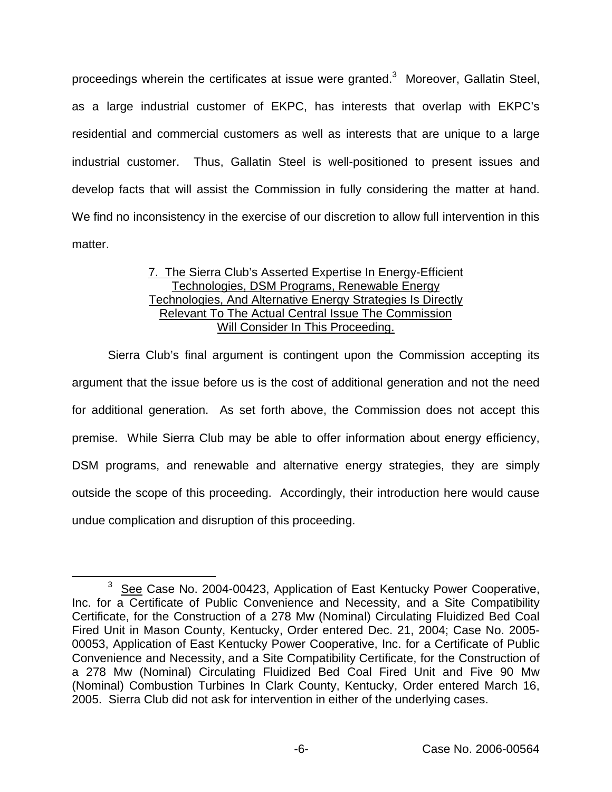proceedings wherein the certificates at issue were granted.<sup>3</sup> Moreover, Gallatin Steel, as a large industrial customer of EKPC, has interests that overlap with EKPC's residential and commercial customers as well as interests that are unique to a large industrial customer. Thus, Gallatin Steel is well-positioned to present issues and develop facts that will assist the Commission in fully considering the matter at hand. We find no inconsistency in the exercise of our discretion to allow full intervention in this matter.

# 7. The Sierra Club's Asserted Expertise In Energy-Efficient Technologies, DSM Programs, Renewable Energy Technologies, And Alternative Energy Strategies Is Directly Relevant To The Actual Central Issue The Commission Will Consider In This Proceeding.

Sierra Club's final argument is contingent upon the Commission accepting its argument that the issue before us is the cost of additional generation and not the need for additional generation. As set forth above, the Commission does not accept this premise. While Sierra Club may be able to offer information about energy efficiency, DSM programs, and renewable and alternative energy strategies, they are simply outside the scope of this proceeding. Accordingly, their introduction here would cause undue complication and disruption of this proceeding.

<sup>&</sup>lt;sup>3</sup> See Case No. 2004-00423, Application of East Kentucky Power Cooperative, Inc. for a Certificate of Public Convenience and Necessity, and a Site Compatibility Certificate, for the Construction of a 278 Mw (Nominal) Circulating Fluidized Bed Coal Fired Unit in Mason County, Kentucky, Order entered Dec. 21, 2004; Case No. 2005- 00053, Application of East Kentucky Power Cooperative, Inc. for a Certificate of Public Convenience and Necessity, and a Site Compatibility Certificate, for the Construction of a 278 Mw (Nominal) Circulating Fluidized Bed Coal Fired Unit and Five 90 Mw (Nominal) Combustion Turbines In Clark County, Kentucky, Order entered March 16, 2005. Sierra Club did not ask for intervention in either of the underlying cases.